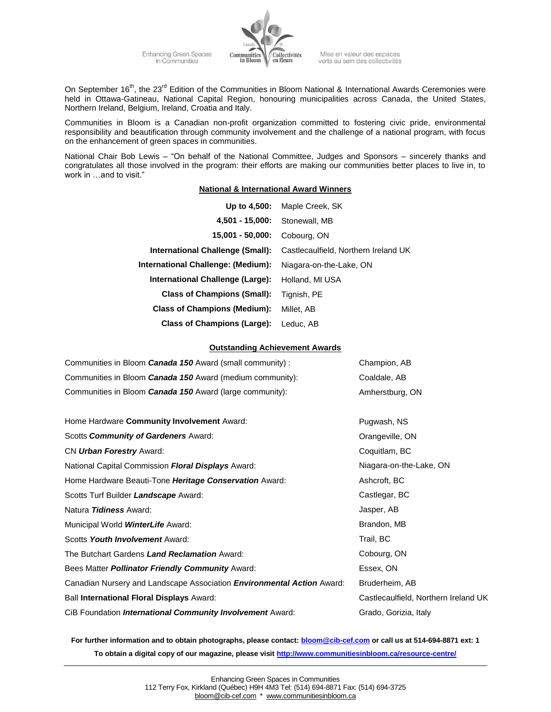**Enhancing Green Spaces** in Communities



Mise en valeur des espaces verts au sein des collectivités

On September 16<sup>th</sup>, the 23<sup>rd</sup> Edition of the Communities in Bloom National & International Awards Ceremonies were held in Ottawa-Gatineau, National Capital Region, honouring municipalities across Canada, the United States, Northern Ireland, Belgium, Ireland, Croatia and Italy.

Communities in Bloom is a Canadian non-profit organization committed to fostering civic pride, environmental responsibility and beautification through community involvement and the challenge of a national program, with focus on the enhancement of green spaces in communities.

National Chair Bob Lewis – "On behalf of the National Committee, Judges and Sponsors – sincerely thanks and congratulates all those involved in the program: their efforts are making our communities better places to live in, to work in …and to visit."

## **National & International Award Winners**

| Up to 4,500:                        | Maple Creek, SK                      |
|-------------------------------------|--------------------------------------|
| 4,501 - 15,000:                     | Stonewall, MB                        |
| $15,001 - 50,000$ :                 | Cobourg, ON                          |
| International Challenge (Small):    | Castlecaulfield, Northern Ireland UK |
| International Challenge: (Medium):  | Niagara-on-the-Lake, ON              |
| International Challenge (Large):    | Holland, MI USA                      |
| <b>Class of Champions (Small):</b>  | Tignish, PE                          |
| <b>Class of Champions (Medium):</b> | Millet. AB                           |
| <b>Class of Champions (Large):</b>  | Leduc, AB                            |

## **Outstanding Achievement Awards**

| Communities in Bloom <i>Canada</i> 150 Award (small community): | Champion, AB    |
|-----------------------------------------------------------------|-----------------|
| Communities in Bloom Canada 150 Award (medium community):       | Coaldale, AB    |
| Communities in Bloom <i>Canada</i> 150 Award (large community): | Amherstburg, ON |
|                                                                 |                 |

| Home Hardware Community Involvement Award:                                    | Pugwash, NS                          |
|-------------------------------------------------------------------------------|--------------------------------------|
| Scotts Community of Gardeners Award:                                          | Orangeville, ON                      |
| CN Urban Forestry Award:                                                      | Coquitlam, BC                        |
| National Capital Commission Floral Displays Award:                            | Niagara-on-the-Lake, ON              |
| Home Hardware Beauti-Tone Heritage Conservation Award:                        | Ashcroft, BC                         |
| Scotts Turf Builder Landscape Award:                                          | Castlegar, BC                        |
| Natura <i>Tidiness</i> Award:                                                 | Jasper, AB                           |
| Municipal World <b>WinterLife</b> Award:                                      | Brandon, MB                          |
| Scotts Youth Involvement Award:                                               | Trail, BC                            |
| The Butchart Gardens Land Reclamation Award:                                  | Cobourg, ON                          |
| Bees Matter <i>Pollinator Friendly Community</i> Award:                       | Essex, ON                            |
| Canadian Nursery and Landscape Association <i>Environmental Action</i> Award: | Bruderheim, AB                       |
| <b>Ball International Floral Displays Award:</b>                              | Castlecaulfield, Northern Ireland UK |
| CiB Foundation International Community Involvement Award:                     | Grado, Gorizia, Italy                |

**For further information and to obtain photographs, please contact[: bloom@cib-cef.com](mailto:bloom@cib-cef.com) or call us at 514-694-8871 ext: 1 To obtain a digital copy of our magazine, please visi[t http://www.communitiesinbloom.ca/resource-centre/](http://www.communitiesinbloom.ca/resource-centre/)**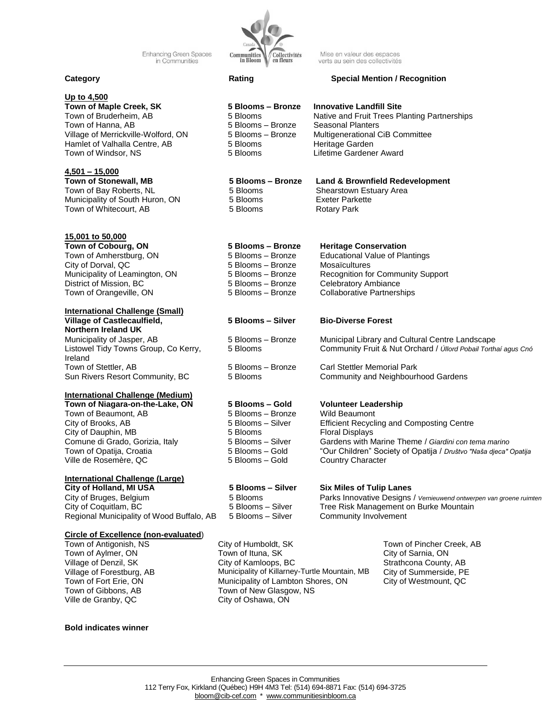**Enhancing Green Spaces** in Communities



## **Up to 4,500**

**4,501 – 15,000**

**Town of Stonewall, MB** Town of Bay Roberts, NL Municipality of South Huron, ON 5 Blooms Exeter Parkette Town of Whitecourt, AB 5 Blooms Rotary Park

**15,001 to 50,000**

**Town of Cobourg, ON 5 Blooms – Bronze Heritage Conservation**  City of Dorval, QC 5 Blooms – Bronze District of Mission, BC 5 Blooms – Bronze

### **International Challenge (Small) Village of Castlecaulfield, Northern Ireland UK**

Listowel Tidy Towns Group, Co Kerry, Ireland Town of Stettler, AB 5 Blooms – Bronze Carl Stettler Memorial Park

### **International Challenge (Medium)**

**Town of Niagara-on-the-Lake, ON 5 Blooms – Gold Volunteer Leadership** Town of Beaumont, AB 5 City of Brooks, AB 5 City of Dauphin, MB 5 Comune di Grado, Gorizia, Italy 6 Blooms 6 Blooms 6 Blooms 6 Blooms 6 Blooms 6 Blooms 6 Blooms 6 Blooms 6 Blooms 1 Town of Opatija, Croatia 5 Blooms – Gold "Our Children" Society of Opatija / *Društvo "Naša djeca" Opatija* Ville de Rosemère, QC 5

## **International Challenge (Large)**

**City of Holland, MI USA 5 Blooms – Silver Six Miles of Tulip Lanes** Regional Municipality of Wood Buffalo, AB 5 Blooms - Silver Community Involvement

# **Circle of Excellence (non-evaluated)**<br>Town of Antigonish, NS

Ville de Granby, QC City of Oshawa, ON

## **Bold indicates winner**



Mise en valeur des espaces verts au sein des collectivités

## **Rating Special Mention / Recognition**

**Land & Brownfield Redevelopment** 

| $UP10 + 300$                        |                   |                                              |
|-------------------------------------|-------------------|----------------------------------------------|
| <b>Town of Maple Creek, SK</b>      | 5 Blooms - Bronze | <b>Innovative Landfill Site</b>              |
| Town of Bruderheim, AB              | 5 Blooms          | Native and Fruit Trees Planting Partnerships |
| Town of Hanna, AB                   | 5 Blooms - Bronze | Seasonal Planters                            |
| Village of Merrickville-Wolford, ON | 5 Blooms - Bronze | Multigenerational CiB Committee              |
| Hamlet of Valhalla Centre, AB       | 5 Blooms          | Heritage Garden                              |
| Town of Windsor, NS                 | 5 Blooms          | Lifetime Gardener Award                      |

## **5 Blooms – Bronze** 5 Blooms

Shearstown Estuary Area

| <b>TUWITUL GUDUULU, UN</b>     | <b>J DIVUIIIS - DIVILLE</b> | <b>INGLITION CONSTRUCTS</b>              |
|--------------------------------|-----------------------------|------------------------------------------|
| Town of Amherstburg, ON        | 5 Blooms - Bronze           | <b>Educational Value of Plantings</b>    |
| City of Dorval, QC             | 5 Blooms - Bronze           | Mosaïcultures                            |
| Municipality of Leamington, ON | 5 Blooms - Bronze           | <b>Recognition for Community Support</b> |
| District of Mission, BC        | 5 Blooms - Bronze           | Celebratory Ambiance                     |
| Town of Orangeville, ON        | 5 Blooms - Bronze           | Collaborative Partnerships               |

## **5 Blooms – Silver Bio-Diverse Forest**

Municipality of Jasper, AB 5 Blooms – Bronze Municipal Library and Cultural Centre Landscape 5 Blooms Community Fruit & Nut Orchard / *Úllord Pobail Torthaí agus Cnó*

Sun Rivers Resort Community, BC 5 Blooms Community and Neighbourhood Gardens

| Blooms – Bronze<br>Blooms – Silver | Wild Beaumont<br><b>Efficient Recycling and Composting Centre</b> |
|------------------------------------|-------------------------------------------------------------------|
| Blooms                             | <b>Floral Displays</b>                                            |
| Blooms – Silver                    | Gardens with Marine Theme / Giardini con tema marino              |
| Blooms – Gold                      | "Our Children" Society of Opatija / Društvo "Naša djeca" Opatija  |
| Blooms – Gold                      | Country Character                                                 |
|                                    |                                                                   |

City of Bruges, Belgium 5 Blooms Parks Innovative Designs / *Vernieuwend ontwerpen van groene ruimten* City of Coquitlam, BC 6 Blooms – Silver Tree Risk Management on Burke Mountain

Town of Pincher Creek, AB City of Humboldt, SK City of Pincher Creek, AB Town of Pincher Creek, AB Town of Aylmer, ON Town of Ituna, SK City of Sarnia, ON City of Sarnia, ON City of Sarnia, ON City of Sarnia, ON City of Sarnia, ON City of Sarnia, ON City of Sarnia, ON City of Kamloops, BC Village of Forestburg, AB Municipality of Killarney-Turtle Mountain, MB City of Summerside, PE Town of Fort Erie, ON Municipality of Lambton Shores, ON City of Westmount, QC Town of Gibbons, AB Town of New Glasgow, NS

Strathcona County, AB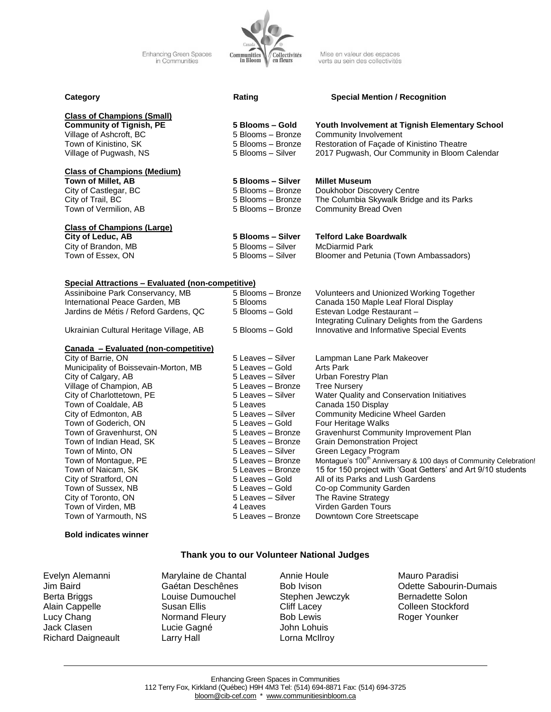Enhancing Green Spaces<br>in Communities



Mise en valeur des espaces<br>verts au sein des collectivités

| Category                                          | Rating                                 | <b>Special Mention / Recognition</b>                                                        |
|---------------------------------------------------|----------------------------------------|---------------------------------------------------------------------------------------------|
| <b>Class of Champions (Small)</b>                 |                                        |                                                                                             |
| <b>Community of Tignish, PE</b>                   | 5 Blooms - Gold                        | Youth Involvement at Tignish Elementary School                                              |
| Village of Ashcroft, BC                           | 5 Blooms - Bronze<br>5 Blooms - Bronze | Community Involvement                                                                       |
| Town of Kinistino, SK<br>Village of Pugwash, NS   | 5 Blooms - Silver                      | Restoration of Façade of Kinistino Theatre<br>2017 Pugwash, Our Community in Bloom Calendar |
|                                                   |                                        |                                                                                             |
| <b>Class of Champions (Medium)</b>                |                                        |                                                                                             |
| Town of Millet, AB                                | 5 Blooms - Silver                      | <b>Millet Museum</b>                                                                        |
| City of Castlegar, BC                             | 5 Blooms - Bronze                      | Doukhobor Discovery Centre                                                                  |
| City of Trail, BC                                 | 5 Blooms - Bronze                      | The Columbia Skywalk Bridge and its Parks                                                   |
| Town of Vermilion, AB                             | 5 Blooms - Bronze                      | <b>Community Bread Oven</b>                                                                 |
| <b>Class of Champions (Large)</b>                 |                                        |                                                                                             |
| City of Leduc, AB                                 | 5 Blooms - Silver                      | <b>Telford Lake Boardwalk</b>                                                               |
| City of Brandon, MB                               | 5 Blooms - Silver                      | <b>McDiarmid Park</b>                                                                       |
| Town of Essex, ON                                 | 5 Blooms - Silver                      | Bloomer and Petunia (Town Ambassadors)                                                      |
|                                                   |                                        |                                                                                             |
| Special Attractions - Evaluated (non-competitive) |                                        |                                                                                             |
| Assiniboine Park Conservancy, MB                  | 5 Blooms - Bronze                      | Volunteers and Unionized Working Together                                                   |
| International Peace Garden, MB                    | 5 Blooms                               | Canada 150 Maple Leaf Floral Display                                                        |
| Jardins de Métis / Reford Gardens, QC             | 5 Blooms - Gold                        | Estevan Lodge Restaurant-                                                                   |
|                                                   |                                        | Integrating Culinary Delights from the Gardens                                              |
| Ukrainian Cultural Heritage Village, AB           | 5 Blooms - Gold                        | Innovative and Informative Special Events                                                   |
|                                                   |                                        |                                                                                             |
| Canada - Evaluated (non-competitive)              |                                        |                                                                                             |
| City of Barrie, ON                                | 5 Leaves - Silver                      | Lampman Lane Park Makeover                                                                  |
| Municipality of Boissevain-Morton, MB             | 5 Leaves - Gold                        | Arts Park                                                                                   |
| City of Calgary, AB                               | 5 Leaves - Silver                      | Urban Forestry Plan                                                                         |
| Village of Champion, AB                           | 5 Leaves - Bronze                      | <b>Tree Nursery</b>                                                                         |
| City of Charlottetown, PE                         | 5 Leaves - Silver                      | Water Quality and Conservation Initiatives                                                  |
| Town of Coaldale, AB                              | 5 Leaves                               | Canada 150 Display                                                                          |
| City of Edmonton, AB                              | 5 Leaves - Silver                      | Community Medicine Wheel Garden                                                             |
| Town of Goderich, ON                              | 5 Leaves - Gold                        | Four Heritage Walks                                                                         |
| Town of Gravenhurst, ON                           | 5 Leaves - Bronze                      | Gravenhurst Community Improvement Plan                                                      |
| Town of Indian Head, SK                           | 5 Leaves - Bronze                      | <b>Grain Demonstration Project</b>                                                          |
| Town of Minto, ON                                 | 5 Leaves - Silver                      | Green Legacy Program                                                                        |
| Town of Montague, PE                              | 5 Leaves - Bronze                      | Montague's 100 <sup>th</sup> Anniversary & 100 days of Community Celebration!               |
| Town of Naicam, SK                                | 5 Leaves - Bronze                      | 15 for 150 project with 'Goat Getters' and Art 9/10 students                                |
| City of Stratford, ON                             | 5 Leaves - Gold                        | All of its Parks and Lush Gardens                                                           |
| Town of Sussex, NB                                | 5 Leaves - Gold                        | Co-op Community Garden                                                                      |
| City of Toronto, ON                               | 5 Leaves - Silver                      | The Ravine Strategy                                                                         |
| Town of Virden, MB                                | 4 Leaves                               | Virden Garden Tours                                                                         |
| Town of Yarmouth, NS                              | 5 Leaves - Bronze                      | Downtown Core Streetscape                                                                   |
| <b>Bold indicates winner</b>                      |                                        |                                                                                             |

## **Thank you to our Volunteer National Judges**

| Evelyn Alemanni           |
|---------------------------|
| Jim Baird                 |
| Berta Briggs              |
| Alain Cappelle            |
| Lucy Chang                |
| <b>Jack Clasen</b>        |
| <b>Richard Daigneault</b> |
|                           |

- Marylaine de Chantal Gaétan Deschênes Louise Dumouchel Susan Ellis Normand Fleury Lucie Gagné Larry Hall
- Annie Houle Bob Ivison Stephen Jewczyk Cliff Lacey Bob Lewis John Lohuis Lorna McIlroy

Mauro Paradisi Odette Sabourin-Dumais Bernadette Solon Colleen Stockford Roger Younker